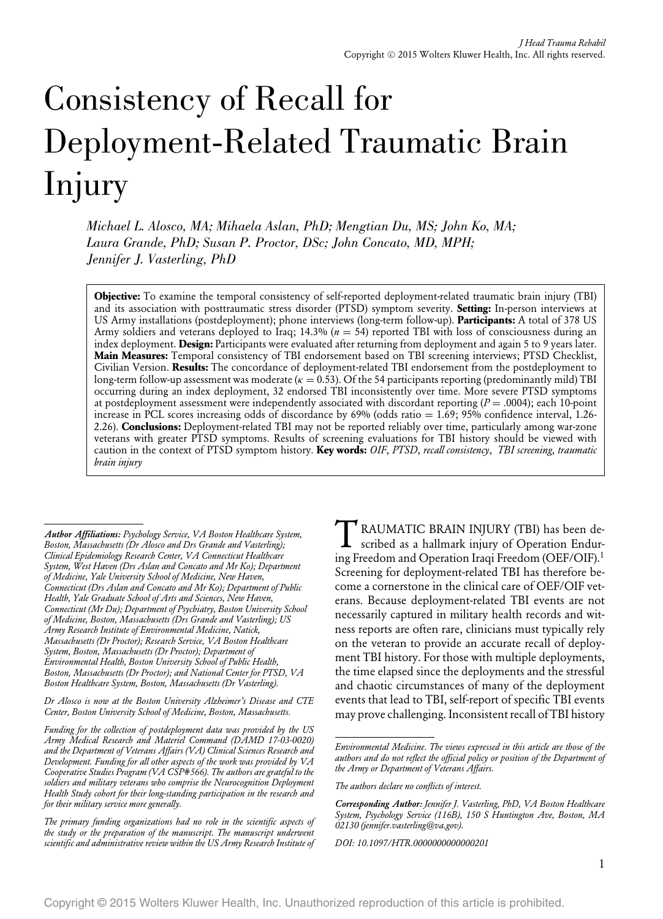# Consistency of Recall for Deployment-Related Traumatic Brain Injury

*Michael L. Alosco, MA; Mihaela Aslan, PhD; Mengtian Du, MS; John Ko, MA; Laura Grande, PhD; Susan P. Proctor, DSc; John Concato, MD, MPH; Jennifer J. Vasterling, PhD*

**Objective:** To examine the temporal consistency of self-reported deployment-related traumatic brain injury (TBI) and its association with posttraumatic stress disorder (PTSD) symptom severity. **Setting:** In-person interviews at US Army installations (postdeployment); phone interviews (long-term follow-up). **Participants:** A total of 378 US Army soldiers and veterans deployed to Iraq; 14.3% (*n* = 54) reported TBI with loss of consciousness during an index deployment. **Design:** Participants were evaluated after returning from deployment and again 5 to 9 years later. **Main Measures:** Temporal consistency of TBI endorsement based on TBI screening interviews; PTSD Checklist, Civilian Version. **Results:** The concordance of deployment-related TBI endorsement from the postdeployment to long-term follow-up assessment was moderate ( $\kappa = 0.53$ ). Of the 54 participants reporting (predominantly mild) TBI occurring during an index deployment, 32 endorsed TBI inconsistently over time. More severe PTSD symptoms at postdeployment assessment were independently associated with discordant reporting (*P* = .0004); each 10-point increase in PCL scores increasing odds of discordance by 69% (odds ratio = 1.69; 95% confidence interval, 1.26- 2.26). **Conclusions:** Deployment-related TBI may not be reported reliably over time, particularly among war-zone veterans with greater PTSD symptoms. Results of screening evaluations for TBI history should be viewed with caution in the context of PTSD symptom history. **Key words:** *OIF*, *PTSD*, *recall consistency*, *TBI screening*, *traumatic brain injury*

*Author Affiliations: Psychology Service, VA Boston Healthcare System, Boston, Massachusetts (Dr Alosco and Drs Grande and Vasterling); Clinical Epidemiology Research Center, VA Connecticut Healthcare System, West Haven (Drs Aslan and Concato and Mr Ko); Department of Medicine, Yale University School of Medicine, New Haven, Connecticut (Drs Aslan and Concato and Mr Ko); Department of Public Health, Yale Graduate School of Arts and Sciences, New Haven, Connecticut (Mr Du); Department of Psychiatry, Boston University School of Medicine, Boston, Massachusetts (Drs Grande and Vasterling); US Army Research Institute of Environmental Medicine, Natick, Massachusetts (Dr Proctor); Research Service, VA Boston Healthcare System, Boston, Massachusetts (Dr Proctor); Department of Environmental Health, Boston University School of Public Health, Boston, Massachusetts (Dr Proctor); and National Center for PTSD, VA Boston Healthcare System, Boston, Massachusetts (Dr Vasterling).*

*Dr Alosco is now at the Boston University Alzheimer's Disease and CTE Center, Boston University School of Medicine, Boston, Massachusetts.*

T RAUMATIC BRAIN INJURY (TBI) has been described as a hallmark injury of Operation Enduring Freedom and Operation Iraqi Freedom (OEF/OIF).<sup>1</sup> Screening for deployment-related TBI has therefore become a cornerstone in the clinical care of OEF/OIF veterans. Because deployment-related TBI events are not necessarily captured in military health records and witness reports are often rare, clinicians must typically rely on the veteran to provide an accurate recall of deployment TBI history. For those with multiple deployments, the time elapsed since the deployments and the stressful and chaotic circumstances of many of the deployment events that lead to TBI, self-report of specific TBI events may prove challenging. Inconsistent recall of TBI history

*DOI: 10.1097/HTR.0000000000000201*

*Funding for the collection of postdeployment data was provided by the US Army Medical Research and Materiel Command (DAMD 17-03-0020) and the Department of Veterans Affairs (VA) Clinical Sciences Research and Development. Funding for all other aspects of the work was provided by VA Cooperative Studies Program (VA CSP#566). The authors aregrateful to the soldiers and military veterans who comprise the Neurocognition Deployment Health Study cohort for their long-standing participation in the research and for their military service more generally.*

*The primary funding organizations had no role in the scientific aspects of the study or the preparation of the manuscript. The manuscript underwent scientific and administrative review within the US Army Research Institute of*

*Environmental Medicine. The views expressed in this article are those of the authors and do not reflect the official policy or position of the Department of the Army or Department of Veterans Affairs.*

*The authors declare no conflicts of interest.*

*Corresponding Author: Jennifer J. Vasterling, PhD, VA Boston Healthcare System, Psychology Service (116B), 150 S Huntington Ave, Boston, MA 02130 [\(jennifer.vasterling@va.gov\)](mailto:jennifer.vasterling@va.gov).*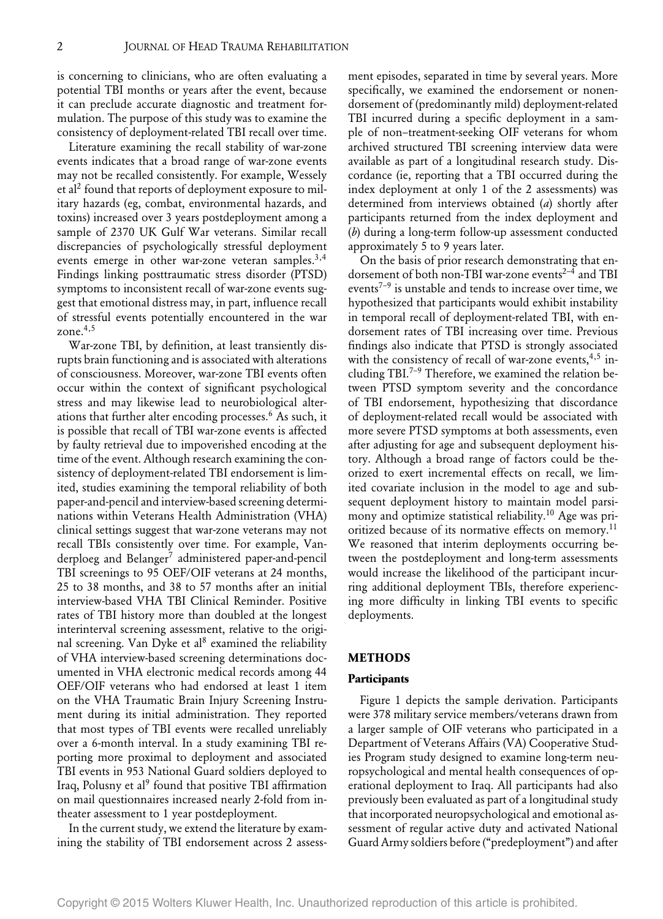is concerning to clinicians, who are often evaluating a potential TBI months or years after the event, because it can preclude accurate diagnostic and treatment formulation. The purpose of this study was to examine the consistency of deployment-related TBI recall over time.

Literature examining the recall stability of war-zone events indicates that a broad range of war-zone events may not be recalled consistently. For example, Wessely et al<sup>2</sup> found that reports of deployment exposure to military hazards (eg, combat, environmental hazards, and toxins) increased over 3 years postdeployment among a sample of 2370 UK Gulf War veterans. Similar recall discrepancies of psychologically stressful deployment events emerge in other war-zone veteran samples.<sup>3,4</sup> Findings linking posttraumatic stress disorder (PTSD) symptoms to inconsistent recall of war-zone events suggest that emotional distress may, in part, influence recall of stressful events potentially encountered in the war zone. $4,5$ 

War-zone TBI, by definition, at least transiently disrupts brain functioning and is associated with alterations of consciousness. Moreover, war-zone TBI events often occur within the context of significant psychological stress and may likewise lead to neurobiological alterations that further alter encoding processes.<sup>6</sup> As such, it is possible that recall of TBI war-zone events is affected by faulty retrieval due to impoverished encoding at the time of the event. Although research examining the consistency of deployment-related TBI endorsement is limited, studies examining the temporal reliability of both paper-and-pencil and interview-based screening determinations within Veterans Health Administration (VHA) clinical settings suggest that war-zone veterans may not recall TBIs consistently over time. For example, Vanderploeg and Belanger<sup>7</sup> administered paper-and-pencil TBI screenings to 95 OEF/OIF veterans at 24 months, 25 to 38 months, and 38 to 57 months after an initial interview-based VHA TBI Clinical Reminder. Positive rates of TBI history more than doubled at the longest interinterval screening assessment, relative to the original screening. Van Dyke et al $8$  examined the reliability of VHA interview-based screening determinations documented in VHA electronic medical records among 44 OEF/OIF veterans who had endorsed at least 1 item on the VHA Traumatic Brain Injury Screening Instrument during its initial administration. They reported that most types of TBI events were recalled unreliably over a 6-month interval. In a study examining TBI reporting more proximal to deployment and associated TBI events in 953 National Guard soldiers deployed to Iraq, Polusny et al<sup>9</sup> found that positive TBI affirmation on mail questionnaires increased nearly 2-fold from intheater assessment to 1 year postdeployment.

In the current study, we extend the literature by examining the stability of TBI endorsement across 2 assessment episodes, separated in time by several years. More specifically, we examined the endorsement or nonendorsement of (predominantly mild) deployment-related TBI incurred during a specific deployment in a sample of non–treatment-seeking OIF veterans for whom archived structured TBI screening interview data were available as part of a longitudinal research study. Discordance (ie, reporting that a TBI occurred during the index deployment at only 1 of the 2 assessments) was determined from interviews obtained (*a*) shortly after participants returned from the index deployment and (*b*) during a long-term follow-up assessment conducted approximately 5 to 9 years later.

On the basis of prior research demonstrating that endorsement of both non-TBI war-zone events<sup> $2-4$ </sup> and TBI events<sup> $7-9$ </sup> is unstable and tends to increase over time, we hypothesized that participants would exhibit instability in temporal recall of deployment-related TBI, with endorsement rates of TBI increasing over time. Previous findings also indicate that PTSD is strongly associated with the consistency of recall of war-zone events,  $4.5$  including TBI.<sup>7-9</sup> Therefore, we examined the relation between PTSD symptom severity and the concordance of TBI endorsement, hypothesizing that discordance of deployment-related recall would be associated with more severe PTSD symptoms at both assessments, even after adjusting for age and subsequent deployment history. Although a broad range of factors could be theorized to exert incremental effects on recall, we limited covariate inclusion in the model to age and subsequent deployment history to maintain model parsimony and optimize statistical reliability.10 Age was prioritized because of its normative effects on memory.<sup>11</sup> We reasoned that interim deployments occurring between the postdeployment and long-term assessments would increase the likelihood of the participant incurring additional deployment TBIs, therefore experiencing more difficulty in linking TBI events to specific deployments.

#### **METHODS**

#### **Participants**

Figure 1 depicts the sample derivation. Participants were 378 military service members/veterans drawn from a larger sample of OIF veterans who participated in a Department of Veterans Affairs (VA) Cooperative Studies Program study designed to examine long-term neuropsychological and mental health consequences of operational deployment to Iraq. All participants had also previously been evaluated as part of a longitudinal study that incorporated neuropsychological and emotional assessment of regular active duty and activated National Guard Army soldiers before ("predeployment") and after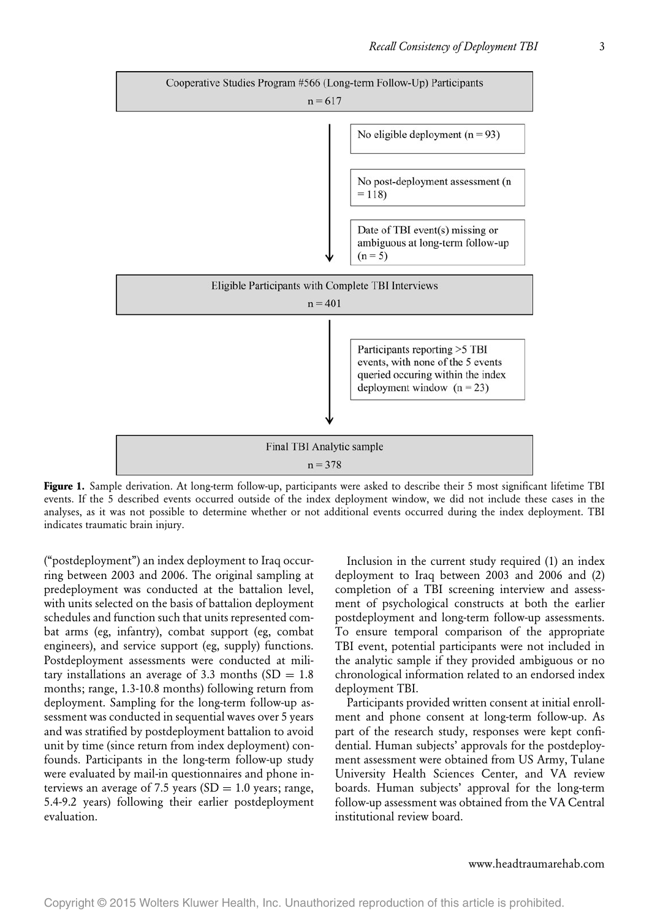

**Figure 1.** Sample derivation. At long-term follow-up, participants were asked to describe their 5 most significant lifetime TBI events. If the 5 described events occurred outside of the index deployment window, we did not include these cases in the analyses, as it was not possible to determine whether or not additional events occurred during the index deployment. TBI indicates traumatic brain injury.

("postdeployment") an index deployment to Iraq occurring between 2003 and 2006. The original sampling at predeployment was conducted at the battalion level, with units selected on the basis of battalion deployment schedules and function such that units represented combat arms (eg, infantry), combat support (eg, combat engineers), and service support (eg, supply) functions. Postdeployment assessments were conducted at military installations an average of 3.3 months  $(SD = 1.8)$ months; range, 1.3-10.8 months) following return from deployment. Sampling for the long-term follow-up assessment was conducted in sequential waves over 5 years and was stratified by postdeployment battalion to avoid unit by time (since return from index deployment) confounds. Participants in the long-term follow-up study were evaluated by mail-in questionnaires and phone interviews an average of 7.5 years ( $SD = 1.0$  years; range, 5.4-9.2 years) following their earlier postdeployment evaluation.

Inclusion in the current study required (1) an index deployment to Iraq between 2003 and 2006 and (2) completion of a TBI screening interview and assessment of psychological constructs at both the earlier postdeployment and long-term follow-up assessments. To ensure temporal comparison of the appropriate TBI event, potential participants were not included in the analytic sample if they provided ambiguous or no chronological information related to an endorsed index deployment TBI.

Participants provided written consent at initial enrollment and phone consent at long-term follow-up. As part of the research study, responses were kept confidential. Human subjects' approvals for the postdeployment assessment were obtained from US Army, Tulane University Health Sciences Center, and VA review boards. Human subjects' approval for the long-term follow-up assessment was obtained from the VA Central institutional review board.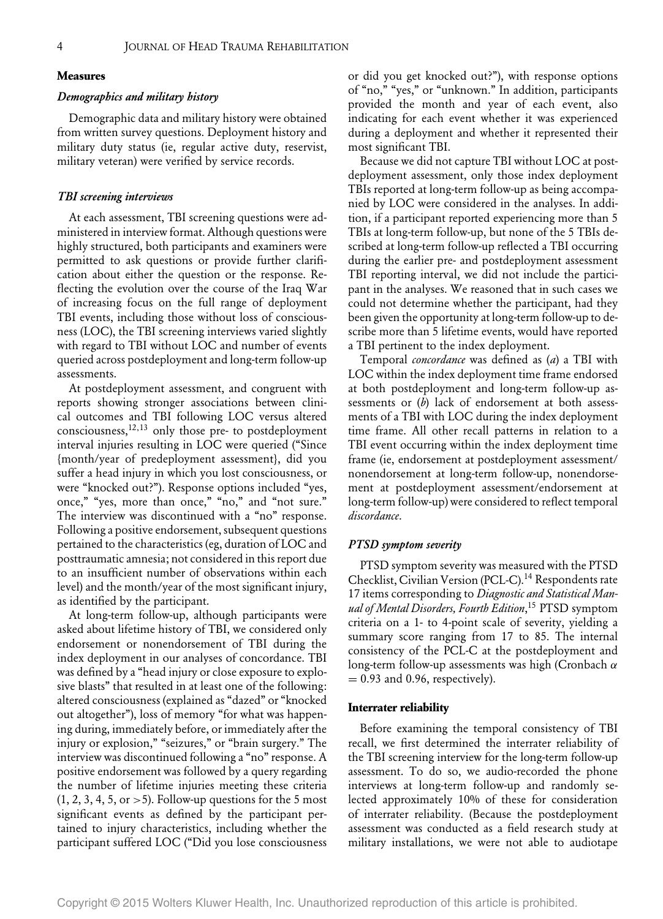#### **Measures**

#### *Demographics and military history*

Demographic data and military history were obtained from written survey questions. Deployment history and military duty status (ie, regular active duty, reservist, military veteran) were verified by service records.

#### *TBI screening interviews*

At each assessment, TBI screening questions were administered in interview format. Although questions were highly structured, both participants and examiners were permitted to ask questions or provide further clarification about either the question or the response. Reflecting the evolution over the course of the Iraq War of increasing focus on the full range of deployment TBI events, including those without loss of consciousness (LOC), the TBI screening interviews varied slightly with regard to TBI without LOC and number of events queried across postdeployment and long-term follow-up assessments.

At postdeployment assessment, and congruent with reports showing stronger associations between clinical outcomes and TBI following LOC versus altered consciousness, $12,13$  only those pre- to postdeployment interval injuries resulting in LOC were queried ("Since {month/year of predeployment assessment}, did you suffer a head injury in which you lost consciousness, or were "knocked out?"). Response options included "yes, once," "yes, more than once," "no," and "not sure." The interview was discontinued with a "no" response. Following a positive endorsement, subsequent questions pertained to the characteristics (eg, duration of LOC and posttraumatic amnesia; not considered in this report due to an insufficient number of observations within each level) and the month/year of the most significant injury, as identified by the participant.

At long-term follow-up, although participants were asked about lifetime history of TBI, we considered only endorsement or nonendorsement of TBI during the index deployment in our analyses of concordance. TBI was defined by a "head injury or close exposure to explosive blasts" that resulted in at least one of the following: altered consciousness (explained as "dazed" or "knocked out altogether"), loss of memory "for what was happening during, immediately before, or immediately after the injury or explosion," "seizures," or "brain surgery." The interview was discontinued following a "no" response. A positive endorsement was followed by a query regarding the number of lifetime injuries meeting these criteria  $(1, 2, 3, 4, 5, or >5)$ . Follow-up questions for the 5 most significant events as defined by the participant pertained to injury characteristics, including whether the participant suffered LOC ("Did you lose consciousness

or did you get knocked out?"), with response options of "no," "yes," or "unknown." In addition, participants provided the month and year of each event, also indicating for each event whether it was experienced during a deployment and whether it represented their most significant TBI.

Because we did not capture TBI without LOC at postdeployment assessment, only those index deployment TBIs reported at long-term follow-up as being accompanied by LOC were considered in the analyses. In addition, if a participant reported experiencing more than 5 TBIs at long-term follow-up, but none of the 5 TBIs described at long-term follow-up reflected a TBI occurring during the earlier pre- and postdeployment assessment TBI reporting interval, we did not include the participant in the analyses. We reasoned that in such cases we could not determine whether the participant, had they been given the opportunity at long-term follow-up to describe more than 5 lifetime events, would have reported a TBI pertinent to the index deployment.

Temporal *concordance* was defined as (*a*) a TBI with LOC within the index deployment time frame endorsed at both postdeployment and long-term follow-up assessments or (*b*) lack of endorsement at both assessments of a TBI with LOC during the index deployment time frame. All other recall patterns in relation to a TBI event occurring within the index deployment time frame (ie, endorsement at postdeployment assessment/ nonendorsement at long-term follow-up, nonendorsement at postdeployment assessment/endorsement at long-term follow-up) were considered to reflect temporal *discordance*.

#### *PTSD symptom severity*

PTSD symptom severity was measured with the PTSD Checklist, Civilian Version (PCL-C).<sup>14</sup> Respondents rate 17 items corresponding to *Diagnostic and Statistical Manual of Mental Disorders, Fourth Edition*, <sup>15</sup> PTSD symptom criteria on a 1- to 4-point scale of severity, yielding a summary score ranging from 17 to 85. The internal consistency of the PCL-C at the postdeployment and long-term follow-up assessments was high (Cronbach  $\alpha$  $= 0.93$  and 0.96, respectively).

#### **Interrater reliability**

Before examining the temporal consistency of TBI recall, we first determined the interrater reliability of the TBI screening interview for the long-term follow-up assessment. To do so, we audio-recorded the phone interviews at long-term follow-up and randomly selected approximately 10% of these for consideration of interrater reliability. (Because the postdeployment assessment was conducted as a field research study at military installations, we were not able to audiotape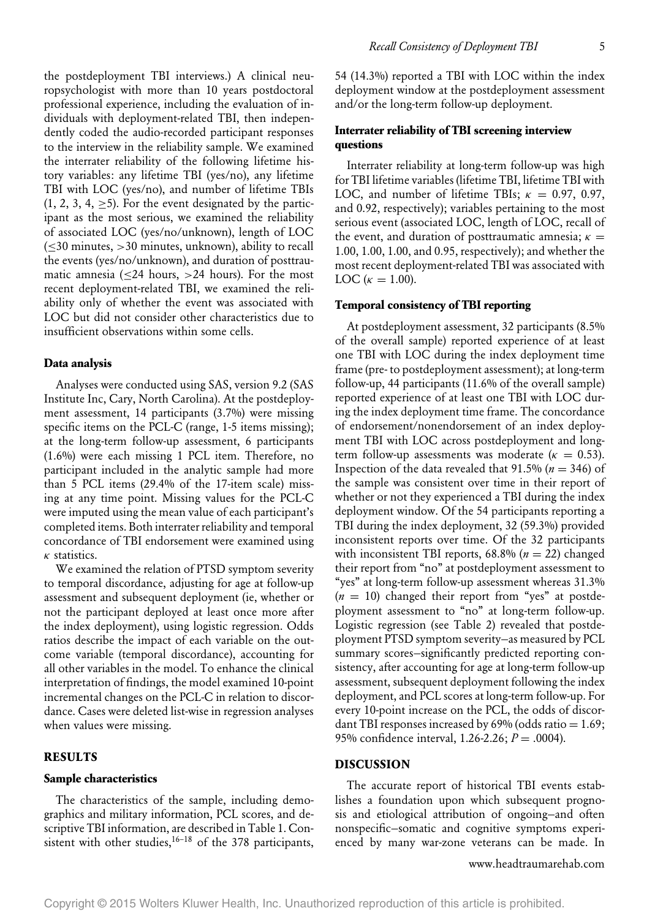the postdeployment TBI interviews.) A clinical neuropsychologist with more than 10 years postdoctoral professional experience, including the evaluation of individuals with deployment-related TBI, then independently coded the audio-recorded participant responses to the interview in the reliability sample. We examined the interrater reliability of the following lifetime history variables: any lifetime TBI (yes/no), any lifetime TBI with LOC (yes/no), and number of lifetime TBIs (1, 2, 3, 4,  $\geq$ 5). For the event designated by the participant as the most serious, we examined the reliability of associated LOC (yes/no/unknown), length of LOC (≤30 minutes, >30 minutes, unknown), ability to recall the events (yes/no/unknown), and duration of posttraumatic amnesia  $\left($  <24 hours, >24 hours). For the most recent deployment-related TBI, we examined the reliability only of whether the event was associated with LOC but did not consider other characteristics due to insufficient observations within some cells.

#### **Data analysis**

Analyses were conducted using SAS, version 9.2 (SAS Institute Inc, Cary, North Carolina). At the postdeployment assessment, 14 participants (3.7%) were missing specific items on the PCL-C (range, 1-5 items missing); at the long-term follow-up assessment, 6 participants (1.6%) were each missing 1 PCL item. Therefore, no participant included in the analytic sample had more than 5 PCL items (29.4% of the 17-item scale) missing at any time point. Missing values for the PCL-C were imputed using the mean value of each participant's completed items. Both interrater reliability and temporal concordance of TBI endorsement were examined using  $\kappa$  statistics.

We examined the relation of PTSD symptom severity to temporal discordance, adjusting for age at follow-up assessment and subsequent deployment (ie, whether or not the participant deployed at least once more after the index deployment), using logistic regression. Odds ratios describe the impact of each variable on the outcome variable (temporal discordance), accounting for all other variables in the model. To enhance the clinical interpretation of findings, the model examined 10-point incremental changes on the PCL-C in relation to discordance. Cases were deleted list-wise in regression analyses when values were missing.

# **RESULTS**

#### **Sample characteristics**

The characteristics of the sample, including demographics and military information, PCL scores, and descriptive TBI information, are described in Table 1. Consistent with other studies,  $16-18$  of the 378 participants,

54 (14.3%) reported a TBI with LOC within the index deployment window at the postdeployment assessment and/or the long-term follow-up deployment.

## **Interrater reliability of TBI screening interview questions**

Interrater reliability at long-term follow-up was high for TBI lifetime variables (lifetime TBI, lifetime TBI with LOC, and number of lifetime TBIs;  $\kappa = 0.97, 0.97$ , and 0.92, respectively); variables pertaining to the most serious event (associated LOC, length of LOC, recall of the event, and duration of posttraumatic amnesia;  $\kappa =$ 1.00, 1.00, 1.00, and 0.95, respectively); and whether the most recent deployment-related TBI was associated with LOC ( $\kappa = 1.00$ ).

#### **Temporal consistency of TBI reporting**

At postdeployment assessment, 32 participants (8.5% of the overall sample) reported experience of at least one TBI with LOC during the index deployment time frame (pre- to postdeployment assessment); at long-term follow-up, 44 participants (11.6% of the overall sample) reported experience of at least one TBI with LOC during the index deployment time frame. The concordance of endorsement/nonendorsement of an index deployment TBI with LOC across postdeployment and longterm follow-up assessments was moderate ( $\kappa = 0.53$ ). Inspection of the data revealed that 91.5% (*n* = 346) of the sample was consistent over time in their report of whether or not they experienced a TBI during the index deployment window. Of the 54 participants reporting a TBI during the index deployment, 32 (59.3%) provided inconsistent reports over time. Of the 32 participants with inconsistent TBI reports,  $68.8\%$  ( $n = 22$ ) changed their report from "no" at postdeployment assessment to "yes" at long-term follow-up assessment whereas 31.3%  $(n = 10)$  changed their report from "yes" at postdeployment assessment to "no" at long-term follow-up. Logistic regression (see Table 2) revealed that postdeployment PTSD symptom severity—as measured by PCL summary scores—significantly predicted reporting consistency, after accounting for age at long-term follow-up assessment, subsequent deployment following the index deployment, and PCL scores at long-term follow-up. For every 10-point increase on the PCL, the odds of discordant TBI responses increased by 69% (odds ratio  $= 1.69$ ; 95% confidence interval, 1.26-2.26; *P* = .0004).

#### **DISCUSSION**

The accurate report of historical TBI events establishes a foundation upon which subsequent prognosis and etiological attribution of ongoing—and often nonspecific—somatic and cognitive symptoms experienced by many war-zone veterans can be made. In

www.headtraumarehab.com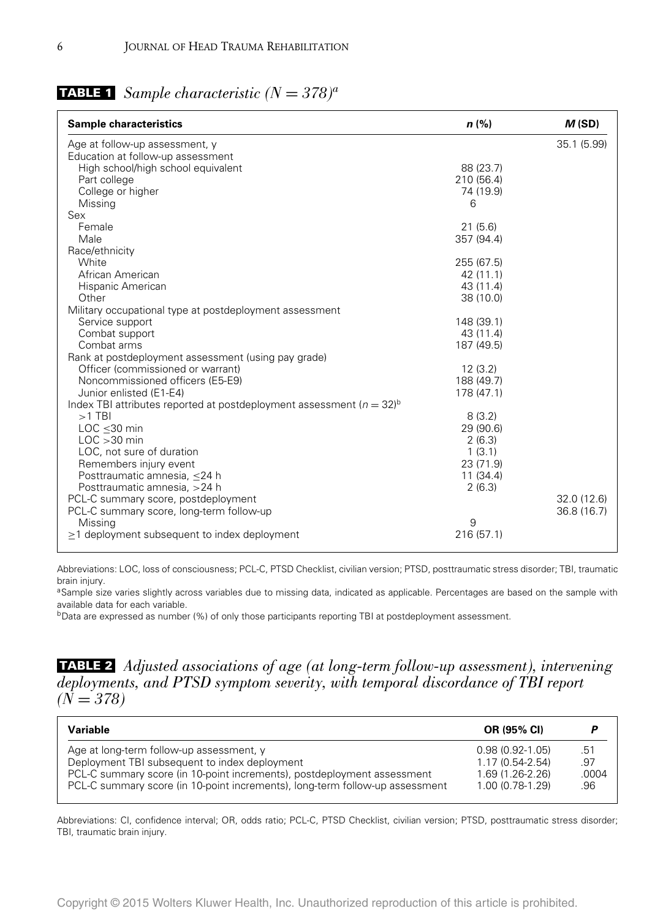# **TABLE 1** *Sample characteristic*  $(N = 378)^a$

| <b>Sample characteristics</b>                                                        | n (%)      | M(SD)       |
|--------------------------------------------------------------------------------------|------------|-------------|
| Age at follow-up assessment, y                                                       |            | 35.1 (5.99) |
| Education at follow-up assessment                                                    |            |             |
| High school/high school equivalent                                                   | 88 (23.7)  |             |
| Part college                                                                         | 210 (56.4) |             |
| College or higher                                                                    | 74 (19.9)  |             |
| Missing                                                                              | 6          |             |
| Sex                                                                                  |            |             |
| Female                                                                               | 21(5.6)    |             |
| Male                                                                                 | 357 (94.4) |             |
| Race/ethnicity                                                                       |            |             |
| White                                                                                | 255 (67.5) |             |
| African American                                                                     | 42 (11.1)  |             |
| Hispanic American                                                                    | 43 (11.4)  |             |
| Other                                                                                | 38 (10.0)  |             |
| Military occupational type at postdeployment assessment                              |            |             |
| Service support                                                                      | 148 (39.1) |             |
| Combat support                                                                       | 43 (11.4)  |             |
| Combat arms                                                                          | 187 (49.5) |             |
| Rank at postdeployment assessment (using pay grade)                                  |            |             |
| Officer (commissioned or warrant)                                                    | 12(3.2)    |             |
| Noncommissioned officers (E5-E9)                                                     | 188 (49.7) |             |
| Junior enlisted (E1-E4)                                                              | 178 (47.1) |             |
| Index TBI attributes reported at postdeployment assessment ( $n = 32$ ) <sup>b</sup> |            |             |
| $>1$ TBI                                                                             | 8(3.2)     |             |
| LOC $\leq$ 30 min                                                                    | 29 (90.6)  |             |
| $LOC > 30$ min                                                                       | 2(6.3)     |             |
| LOC, not sure of duration                                                            | 1(3.1)     |             |
| Remembers injury event                                                               | 23 (71.9)  |             |
| Posttraumatic amnesia, <24 h                                                         | 11(34.4)   |             |
| Posttraumatic amnesia, >24 h                                                         | 2(6.3)     |             |
| PCL-C summary score, postdeployment                                                  |            | 32.0 (12.6) |
| PCL-C summary score, long-term follow-up                                             |            | 36.8 (16.7) |
| Missing                                                                              | 9          |             |
| $\geq$ 1 deployment subsequent to index deployment                                   | 216 (57.1) |             |
|                                                                                      |            |             |

Abbreviations: LOC, loss of consciousness; PCL-C, PTSD Checklist, civilian version; PTSD, posttraumatic stress disorder; TBI, traumatic brain injury.

aSample size varies slightly across variables due to missing data, indicated as applicable. Percentages are based on the sample with available data for each variable.

bData are expressed as number (%) of only those participants reporting TBI at postdeployment assessment.

# **TABLE 2** *Adjusted associations of age (at long-term follow-up assessment), intervening deployments, and PTSD symptom severity, with temporal discordance of TBI report (N* = *378)*

| Variable                                                                     | <b>OR (95% CI)</b> |       |
|------------------------------------------------------------------------------|--------------------|-------|
| Age at long-term follow-up assessment, y                                     | $0.98(0.92-1.05)$  | .51   |
| Deployment TBI subsequent to index deployment                                | 1.17 (0.54-2.54)   | .97   |
| PCL-C summary score (in 10-point increments), postdeployment assessment      | 1.69 (1.26-2.26)   | .0004 |
| PCL-C summary score (in 10-point increments), long-term follow-up assessment | 1.00 (0.78-1.29)   | .96   |

Abbreviations: CI, confidence interval; OR, odds ratio; PCL-C, PTSD Checklist, civilian version; PTSD, posttraumatic stress disorder; TBI, traumatic brain injury.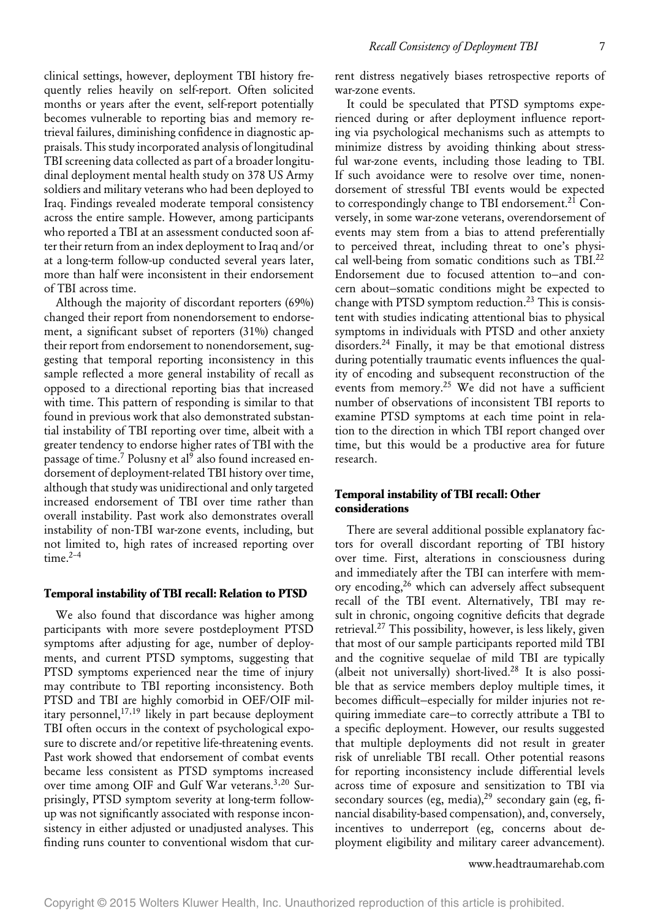clinical settings, however, deployment TBI history frequently relies heavily on self-report. Often solicited months or years after the event, self-report potentially becomes vulnerable to reporting bias and memory retrieval failures, diminishing confidence in diagnostic appraisals. This study incorporated analysis of longitudinal TBI screening data collected as part of a broader longitudinal deployment mental health study on 378 US Army soldiers and military veterans who had been deployed to Iraq. Findings revealed moderate temporal consistency across the entire sample. However, among participants who reported a TBI at an assessment conducted soon after their return from an index deployment to Iraq and/or at a long-term follow-up conducted several years later, more than half were inconsistent in their endorsement of TBI across time.

Although the majority of discordant reporters (69%) changed their report from nonendorsement to endorsement, a significant subset of reporters (31%) changed their report from endorsement to nonendorsement, suggesting that temporal reporting inconsistency in this sample reflected a more general instability of recall as opposed to a directional reporting bias that increased with time. This pattern of responding is similar to that found in previous work that also demonstrated substantial instability of TBI reporting over time, albeit with a greater tendency to endorse higher rates of TBI with the passage of time.<sup>7</sup> Polusny et al<sup>9</sup> also found increased endorsement of deployment-related TBI history over time, although that study was unidirectional and only targeted increased endorsement of TBI over time rather than overall instability. Past work also demonstrates overall instability of non-TBI war-zone events, including, but not limited to, high rates of increased reporting over time. $2-4$ 

### **Temporal instability of TBI recall: Relation to PTSD**

We also found that discordance was higher among participants with more severe postdeployment PTSD symptoms after adjusting for age, number of deployments, and current PTSD symptoms, suggesting that PTSD symptoms experienced near the time of injury may contribute to TBI reporting inconsistency. Both PTSD and TBI are highly comorbid in OEF/OIF military personnel, $17,19$  likely in part because deployment TBI often occurs in the context of psychological exposure to discrete and/or repetitive life-threatening events. Past work showed that endorsement of combat events became less consistent as PTSD symptoms increased over time among OIF and Gulf War veterans.<sup>3,20</sup> Surprisingly, PTSD symptom severity at long-term followup was not significantly associated with response inconsistency in either adjusted or unadjusted analyses. This finding runs counter to conventional wisdom that cur-

rent distress negatively biases retrospective reports of war-zone events.

It could be speculated that PTSD symptoms experienced during or after deployment influence reporting via psychological mechanisms such as attempts to minimize distress by avoiding thinking about stressful war-zone events, including those leading to TBI. If such avoidance were to resolve over time, nonendorsement of stressful TBI events would be expected to correspondingly change to TBI endorsement.<sup>21</sup> Conversely, in some war-zone veterans, overendorsement of events may stem from a bias to attend preferentially to perceived threat, including threat to one's physical well-being from somatic conditions such as TBI.<sup>22</sup> Endorsement due to focused attention to—and concern about—somatic conditions might be expected to change with PTSD symptom reduction.<sup>23</sup> This is consistent with studies indicating attentional bias to physical symptoms in individuals with PTSD and other anxiety disorders.<sup>24</sup> Finally, it may be that emotional distress during potentially traumatic events influences the quality of encoding and subsequent reconstruction of the events from memory.<sup>25</sup> We did not have a sufficient number of observations of inconsistent TBI reports to examine PTSD symptoms at each time point in relation to the direction in which TBI report changed over time, but this would be a productive area for future research.

## **Temporal instability of TBI recall: Other considerations**

There are several additional possible explanatory factors for overall discordant reporting of TBI history over time. First, alterations in consciousness during and immediately after the TBI can interfere with memory encoding,<sup>26</sup> which can adversely affect subsequent recall of the TBI event. Alternatively, TBI may result in chronic, ongoing cognitive deficits that degrade retrieval.27 This possibility, however, is less likely, given that most of our sample participants reported mild TBI and the cognitive sequelae of mild TBI are typically (albeit not universally) short-lived.<sup>28</sup> It is also possible that as service members deploy multiple times, it becomes difficult—especially for milder injuries not requiring immediate care—to correctly attribute a TBI to a specific deployment. However, our results suggested that multiple deployments did not result in greater risk of unreliable TBI recall. Other potential reasons for reporting inconsistency include differential levels across time of exposure and sensitization to TBI via secondary sources (eg, media), $2^9$  secondary gain (eg, financial disability-based compensation), and, conversely, incentives to underreport (eg, concerns about deployment eligibility and military career advancement).

www.headtraumarehab.com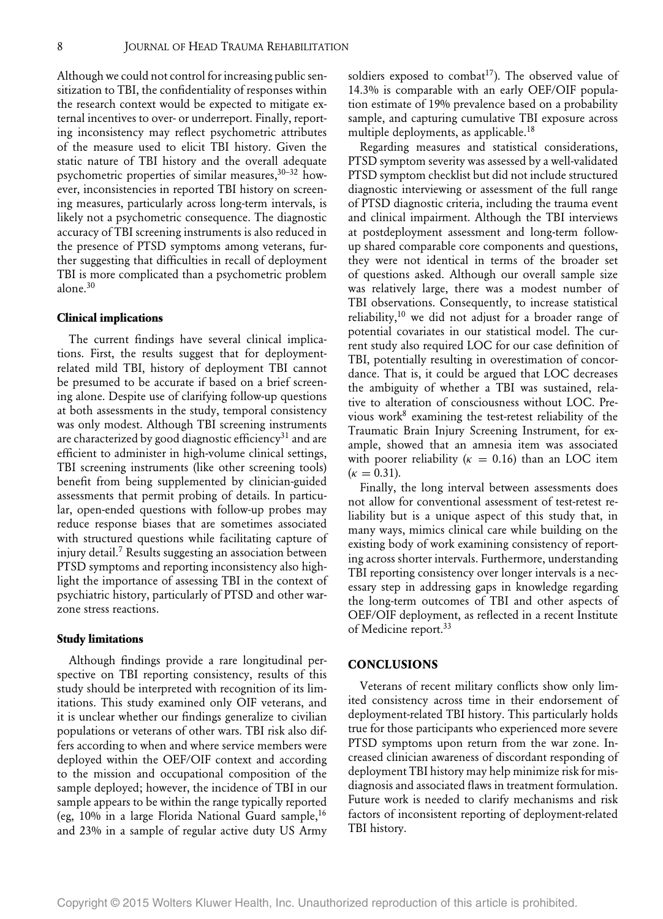Although we could not control for increasing public sensitization to TBI, the confidentiality of responses within the research context would be expected to mitigate external incentives to over- or underreport. Finally, reporting inconsistency may reflect psychometric attributes of the measure used to elicit TBI history. Given the static nature of TBI history and the overall adequate psychometric properties of similar measures,<sup>30-32</sup> however, inconsistencies in reported TBI history on screening measures, particularly across long-term intervals, is likely not a psychometric consequence. The diagnostic accuracy of TBI screening instruments is also reduced in the presence of PTSD symptoms among veterans, further suggesting that difficulties in recall of deployment TBI is more complicated than a psychometric problem alone.<sup>30</sup>

#### **Clinical implications**

The current findings have several clinical implications. First, the results suggest that for deploymentrelated mild TBI, history of deployment TBI cannot be presumed to be accurate if based on a brief screening alone. Despite use of clarifying follow-up questions at both assessments in the study, temporal consistency was only modest. Although TBI screening instruments are characterized by good diagnostic efficiency<sup>31</sup> and are efficient to administer in high-volume clinical settings, TBI screening instruments (like other screening tools) benefit from being supplemented by clinician-guided assessments that permit probing of details. In particular, open-ended questions with follow-up probes may reduce response biases that are sometimes associated with structured questions while facilitating capture of injury detail.<sup>7</sup> Results suggesting an association between PTSD symptoms and reporting inconsistency also highlight the importance of assessing TBI in the context of psychiatric history, particularly of PTSD and other warzone stress reactions.

#### **Study limitations**

Although findings provide a rare longitudinal perspective on TBI reporting consistency, results of this study should be interpreted with recognition of its limitations. This study examined only OIF veterans, and it is unclear whether our findings generalize to civilian populations or veterans of other wars. TBI risk also differs according to when and where service members were deployed within the OEF/OIF context and according to the mission and occupational composition of the sample deployed; however, the incidence of TBI in our sample appears to be within the range typically reported (eg, 10% in a large Florida National Guard sample,  $16$ and 23% in a sample of regular active duty US Army soldiers exposed to combat<sup>17</sup>). The observed value of 14.3% is comparable with an early OEF/OIF population estimate of 19% prevalence based on a probability sample, and capturing cumulative TBI exposure across multiple deployments, as applicable.<sup>18</sup>

Regarding measures and statistical considerations, PTSD symptom severity was assessed by a well-validated PTSD symptom checklist but did not include structured diagnostic interviewing or assessment of the full range of PTSD diagnostic criteria, including the trauma event and clinical impairment. Although the TBI interviews at postdeployment assessment and long-term followup shared comparable core components and questions, they were not identical in terms of the broader set of questions asked. Although our overall sample size was relatively large, there was a modest number of TBI observations. Consequently, to increase statistical reliability, $10$  we did not adjust for a broader range of potential covariates in our statistical model. The current study also required LOC for our case definition of TBI, potentially resulting in overestimation of concordance. That is, it could be argued that LOC decreases the ambiguity of whether a TBI was sustained, relative to alteration of consciousness without LOC. Previous work<sup>8</sup> examining the test-retest reliability of the Traumatic Brain Injury Screening Instrument, for example, showed that an amnesia item was associated with poorer reliability ( $\kappa = 0.16$ ) than an LOC item  $(\kappa = 0.31).$ 

Finally, the long interval between assessments does not allow for conventional assessment of test-retest reliability but is a unique aspect of this study that, in many ways, mimics clinical care while building on the existing body of work examining consistency of reporting across shorter intervals. Furthermore, understanding TBI reporting consistency over longer intervals is a necessary step in addressing gaps in knowledge regarding the long-term outcomes of TBI and other aspects of OEF/OIF deployment, as reflected in a recent Institute of Medicine report.<sup>33</sup>

#### **CONCLUSIONS**

Veterans of recent military conflicts show only limited consistency across time in their endorsement of deployment-related TBI history. This particularly holds true for those participants who experienced more severe PTSD symptoms upon return from the war zone. Increased clinician awareness of discordant responding of deployment TBI history may help minimize risk for misdiagnosis and associated flaws in treatment formulation. Future work is needed to clarify mechanisms and risk factors of inconsistent reporting of deployment-related TBI history.